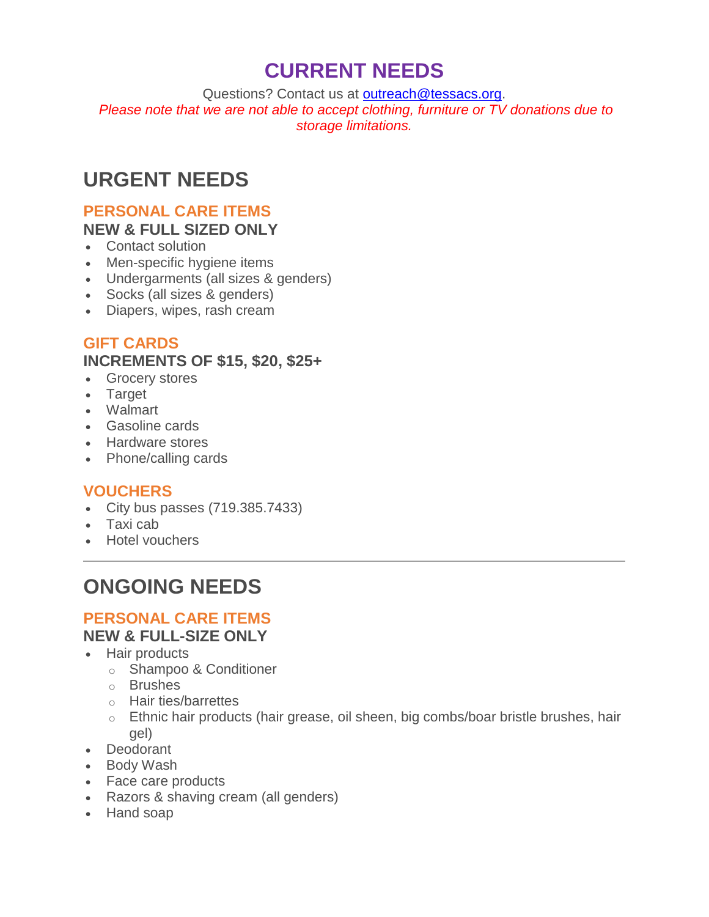# **CURRENT NEEDS**

Questions? Contact us at [outreach@tessacs.org.](mailto:outreach@tessacs.org) *Please note that we are not able to accept clothing, furniture or TV donations due to storage limitations.*

# **URGENT NEEDS**

#### **PERSONAL CARE ITEMS NEW & FULL SIZED ONLY**

- Contact solution
- Men-specific hygiene items
- Undergarments (all sizes & genders)
- Socks (all sizes & genders)
- Diapers, wipes, rash cream

## **GIFT CARDS**

### **INCREMENTS OF \$15, \$20, \$25+**

- Grocery stores
- Target
- Walmart
- Gasoline cards
- Hardware stores
- Phone/calling cards

## **VOUCHERS**

- City bus passes (719.385.7433)
- Taxi cab
- Hotel vouchers

# **ONGOING NEEDS**

### **PERSONAL CARE ITEMS NEW & FULL-SIZE ONLY**

- Hair products
	- o Shampoo & Conditioner
	- o Brushes
	- o Hair ties/barrettes
	- o Ethnic hair products (hair grease, oil sheen, big combs/boar bristle brushes, hair gel)
- Deodorant
- Body Wash
- Face care products
- Razors & shaving cream (all genders)
- Hand soap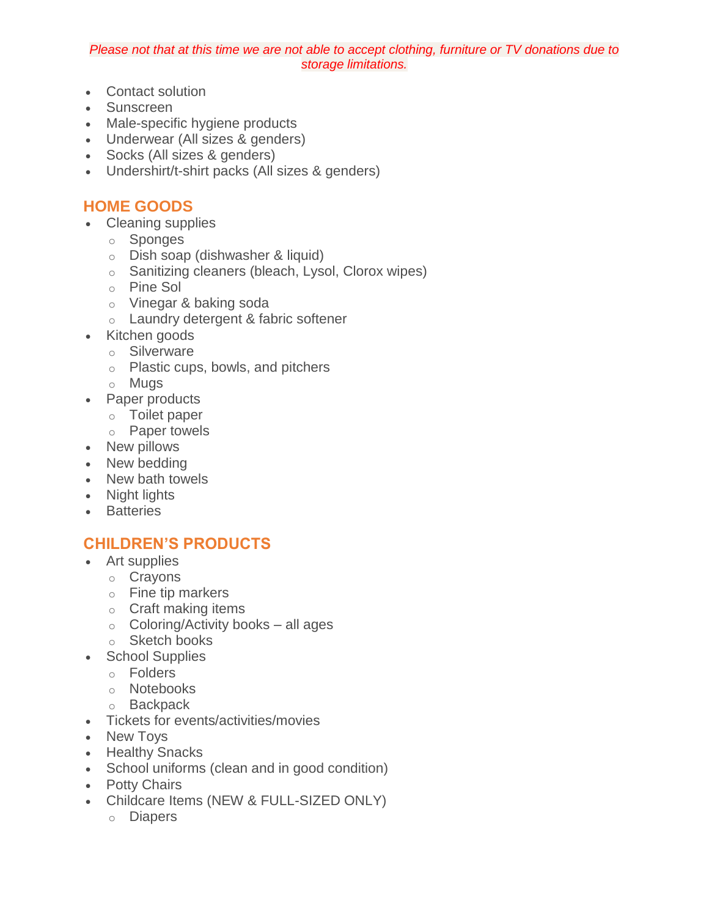#### *Please not that at this time we are not able to accept clothing, furniture or TV donations due to storage limitations.*

- Contact solution
- Sunscreen
- Male-specific hygiene products
- Underwear (All sizes & genders)
- Socks (All sizes & genders)
- Undershirt/t-shirt packs (All sizes & genders)

### **HOME GOODS**

- Cleaning supplies
	- o Sponges
	- o Dish soap (dishwasher & liquid)
	- o Sanitizing cleaners (bleach, Lysol, Clorox wipes)
	- o Pine Sol
	- o Vinegar & baking soda
	- o Laundry detergent & fabric softener
- Kitchen goods
	- o Silverware
	- o Plastic cups, bowls, and pitchers
	- o Mugs
- Paper products
	- o Toilet paper
	- o Paper towels
- New pillows
- New bedding
- New bath towels
- Night lights
- Batteries

## **CHILDREN'S PRODUCTS**

- Art supplies
	- o Crayons
	- o Fine tip markers
	- o Craft making items
	- o Coloring/Activity books all ages
	- o Sketch books
- School Supplies
	- o Folders
	- o Notebooks
	- o Backpack
- Tickets for events/activities/movies
- New Toys
- Healthy Snacks
- School uniforms (clean and in good condition)
- Potty Chairs
- Childcare Items (NEW & FULL-SIZED ONLY)
	- o Diapers